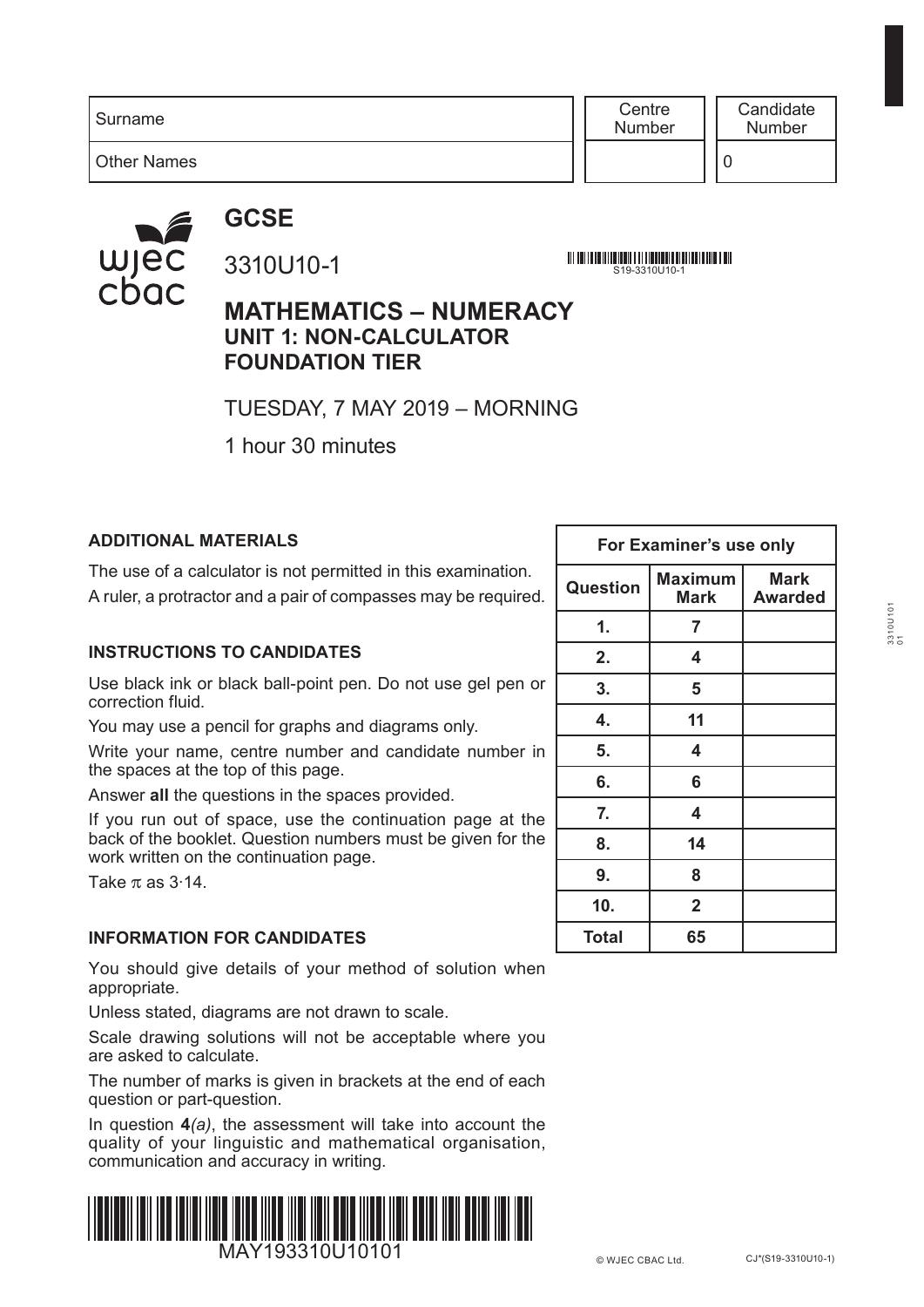Surname

**Centre** Number

**Candidate** Number

Other Names

### **GCSE**



### 3310U10-1

<u> 111 | 121 | 121 | 121 | 121 | 121 | 121 | 121 | 121 | 121 | 121 | 121 | 121 | 121 | 121 | 121 | 121 | 121 | 1</u> S19-3310U10-1

### **MATHEMATICS – NUMERACY UNIT 1: NON-CALCULATOR FOUNDATION TIER**

TUESDAY, 7 MAY 2019 – MORNING

1 hour 30 minutes

#### **ADDITIONAL MATERIALS**

The use of a calculator is not permitted in this examination. A ruler, a protractor and a pair of compasses may be required.

#### **INSTRUCTIONS TO CANDIDATES**

Use black ink or black ball-point pen. Do not use gel pen or correction fluid.

You may use a pencil for graphs and diagrams only.

Write your name, centre number and candidate number in the spaces at the top of this page.

Answer **all** the questions in the spaces provided.

If you run out of space, use the continuation page at the back of the booklet. Question numbers must be given for the work written on the continuation page.

Take  $\pi$  as 3.14.

#### **INFORMATION FOR CANDIDATES**

You should give details of your method of solution when appropriate.

Unless stated, diagrams are not drawn to scale.

Scale drawing solutions will not be acceptable where you are asked to calculate.

The number of marks is given in brackets at the end of each question or part-question.

In question **4***(a)*, the assessment will take into account the quality of your linguistic and mathematical organisation, communication and accuracy in writing.



|              | For Examiner's use only       |                               |  |  |  |  |  |  |
|--------------|-------------------------------|-------------------------------|--|--|--|--|--|--|
| Question     | <b>Maximum</b><br><b>Mark</b> | <b>Mark</b><br><b>Awarded</b> |  |  |  |  |  |  |
| 1.           | 7                             |                               |  |  |  |  |  |  |
| 2.           | 4                             |                               |  |  |  |  |  |  |
| 3.           | 5                             |                               |  |  |  |  |  |  |
| 4.           | 11                            |                               |  |  |  |  |  |  |
| 5.           | 4                             |                               |  |  |  |  |  |  |
| 6.           | 6                             |                               |  |  |  |  |  |  |
| 7.           | 4                             |                               |  |  |  |  |  |  |
| 8.           | 14                            |                               |  |  |  |  |  |  |
| 9.           | 8                             |                               |  |  |  |  |  |  |
| 10.          | $\overline{\mathbf{2}}$       |                               |  |  |  |  |  |  |
| <b>Total</b> | 65                            |                               |  |  |  |  |  |  |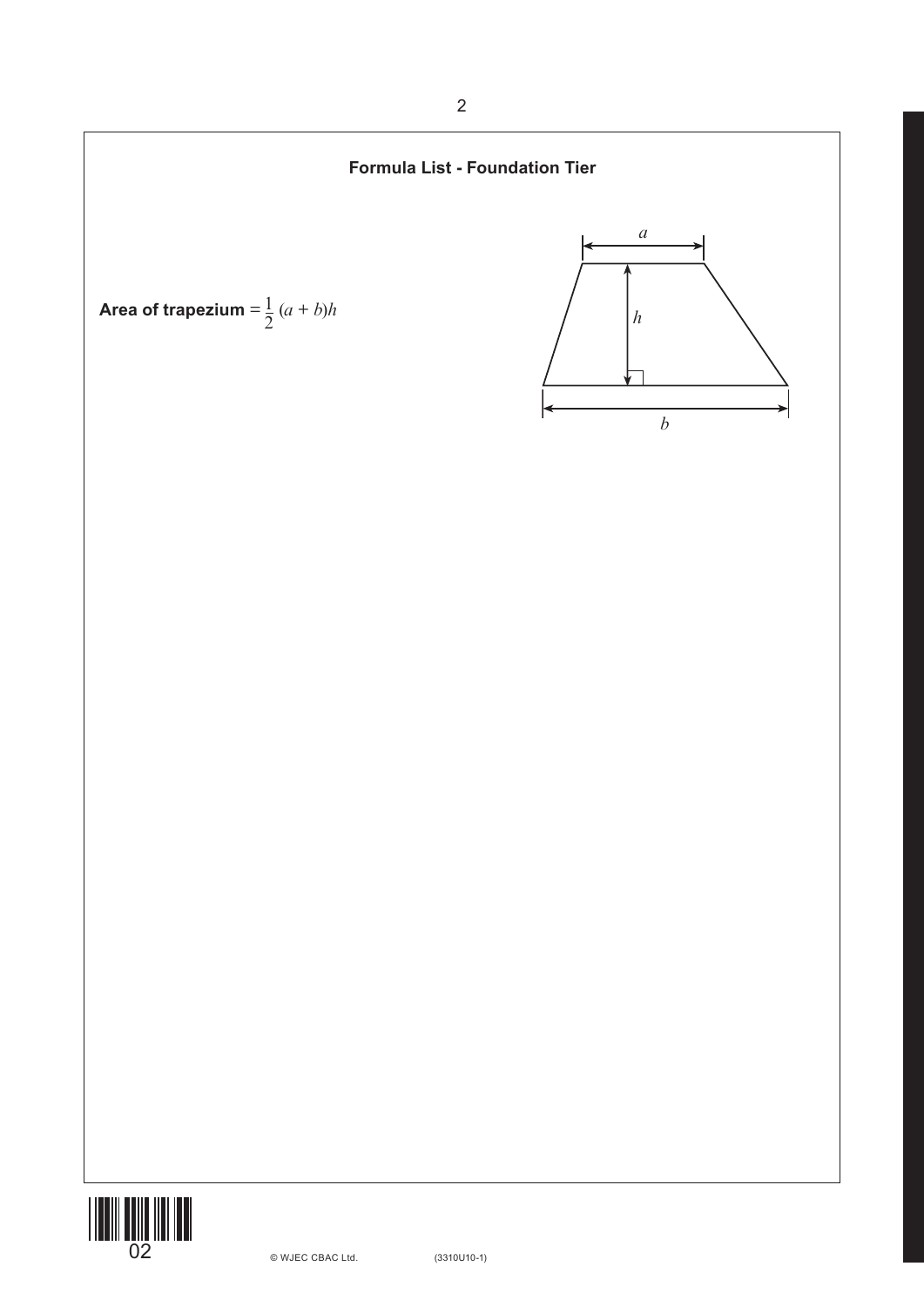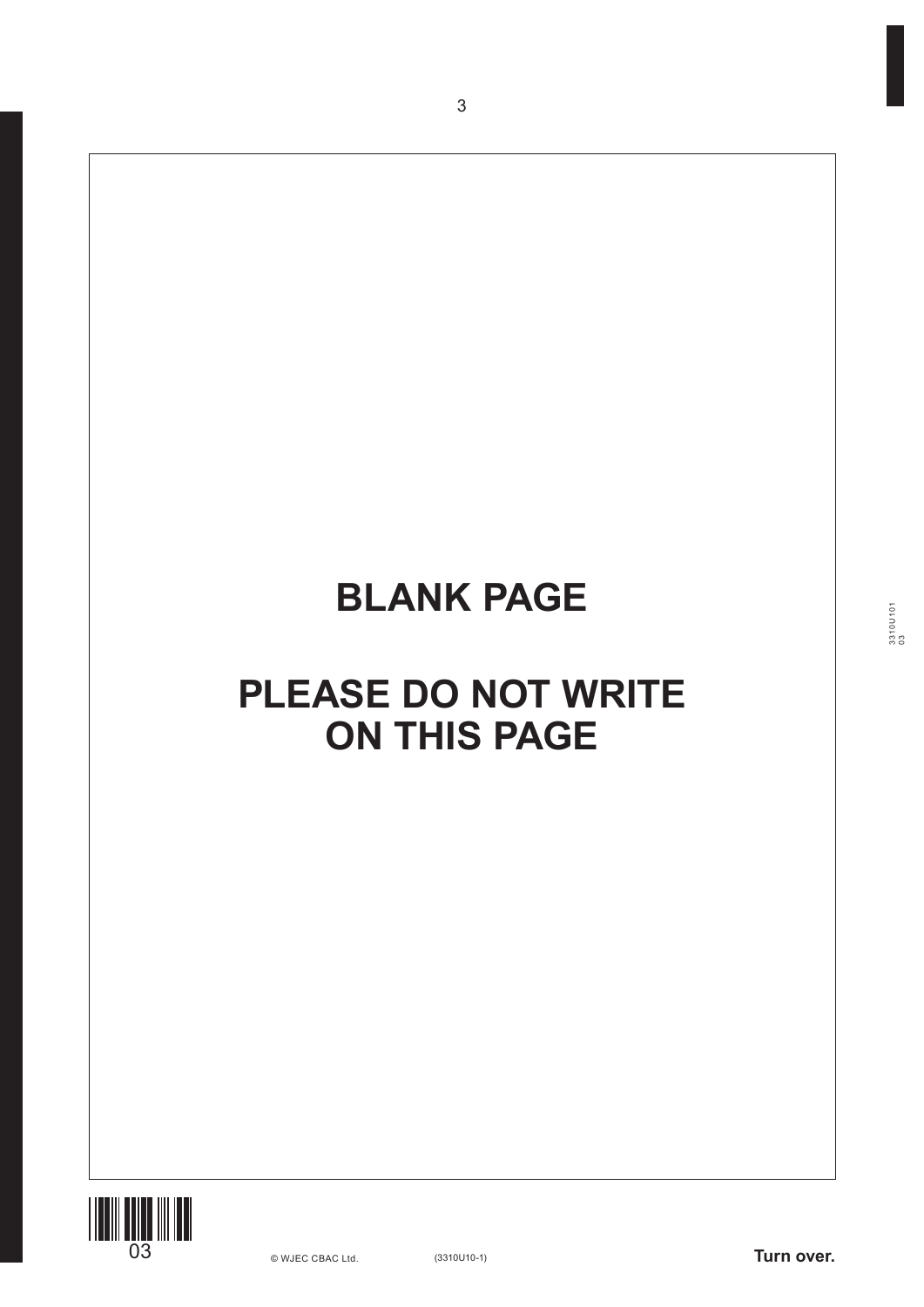# **BLANK PAGE**

3



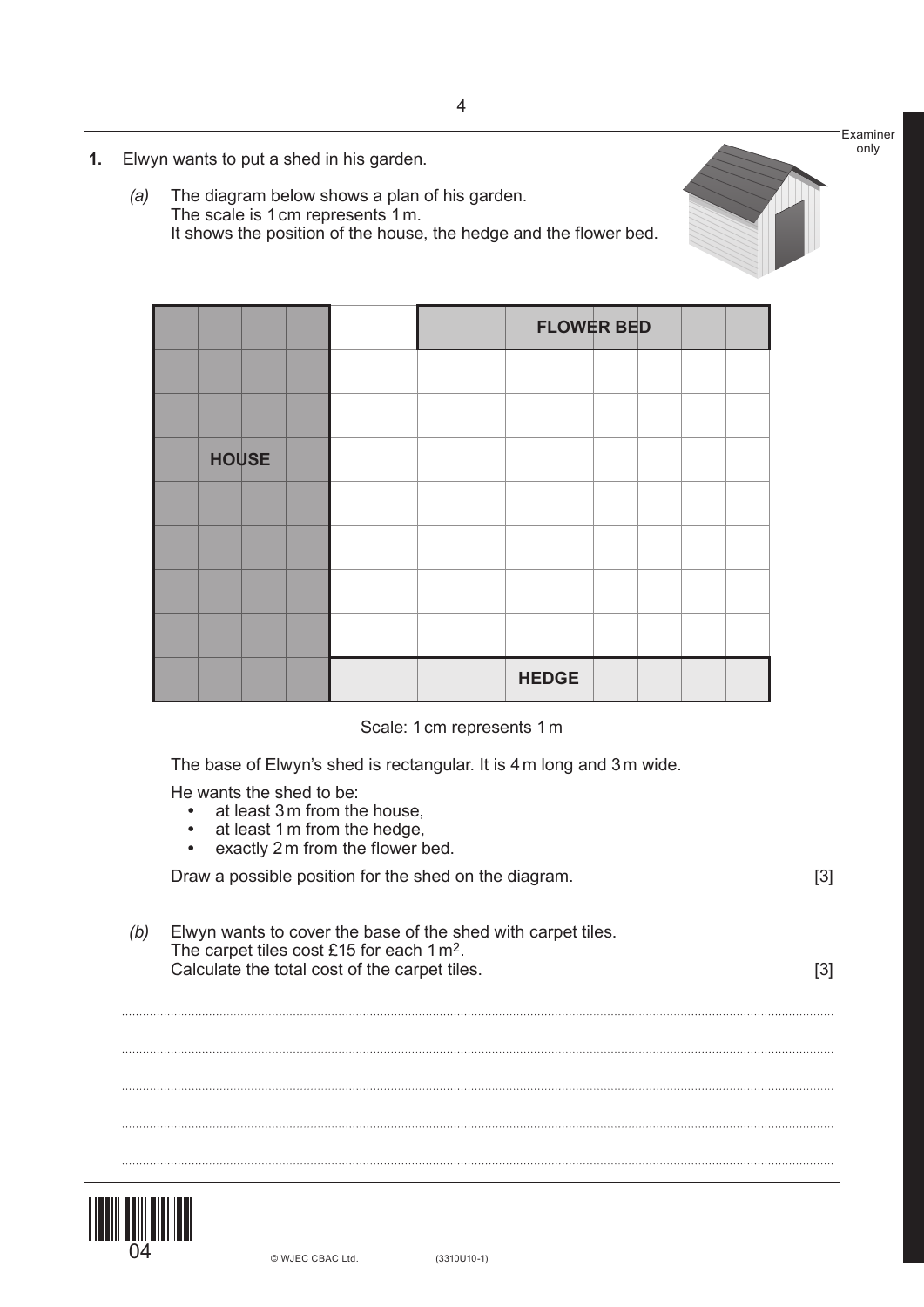|     | It shows the position of the house, the hedge and the flower bed. |                          |  |                                                                                                        |                                                                       |              |                   |  |       |
|-----|-------------------------------------------------------------------|--------------------------|--|--------------------------------------------------------------------------------------------------------|-----------------------------------------------------------------------|--------------|-------------------|--|-------|
|     |                                                                   |                          |  |                                                                                                        |                                                                       |              |                   |  |       |
|     |                                                                   |                          |  |                                                                                                        |                                                                       |              | <b>FLOWER BED</b> |  |       |
|     |                                                                   |                          |  |                                                                                                        |                                                                       |              |                   |  |       |
|     |                                                                   |                          |  |                                                                                                        |                                                                       |              |                   |  |       |
|     | <b>HOUSE</b>                                                      |                          |  |                                                                                                        |                                                                       |              |                   |  |       |
|     |                                                                   |                          |  |                                                                                                        |                                                                       |              |                   |  |       |
|     |                                                                   |                          |  |                                                                                                        |                                                                       |              |                   |  |       |
|     |                                                                   |                          |  |                                                                                                        |                                                                       |              |                   |  |       |
|     |                                                                   |                          |  |                                                                                                        |                                                                       | <b>HEDGE</b> |                   |  |       |
|     |                                                                   |                          |  |                                                                                                        | Scale: 1 cm represents 1 m                                            |              |                   |  |       |
|     |                                                                   |                          |  |                                                                                                        | The base of Elwyn's shed is rectangular. It is 4 m long and 3 m wide. |              |                   |  |       |
|     |                                                                   | He wants the shed to be: |  | at least 3 m from the house,<br>at least 1 m from the hedge,                                           |                                                                       |              |                   |  |       |
|     |                                                                   |                          |  | exactly 2m from the flower bed.                                                                        | Draw a possible position for the shed on the diagram.                 |              |                   |  | $[3]$ |
| (b) |                                                                   |                          |  |                                                                                                        | Elwyn wants to cover the base of the shed with carpet tiles.          |              |                   |  |       |
|     |                                                                   |                          |  | The carpet tiles cost £15 for each 1 m <sup>2</sup> .<br>Calculate the total cost of the carpet tiles. |                                                                       |              |                   |  | $[3]$ |
|     |                                                                   |                          |  |                                                                                                        |                                                                       |              |                   |  |       |
|     |                                                                   |                          |  |                                                                                                        |                                                                       |              |                   |  |       |



© WJEC CBAC Ltd.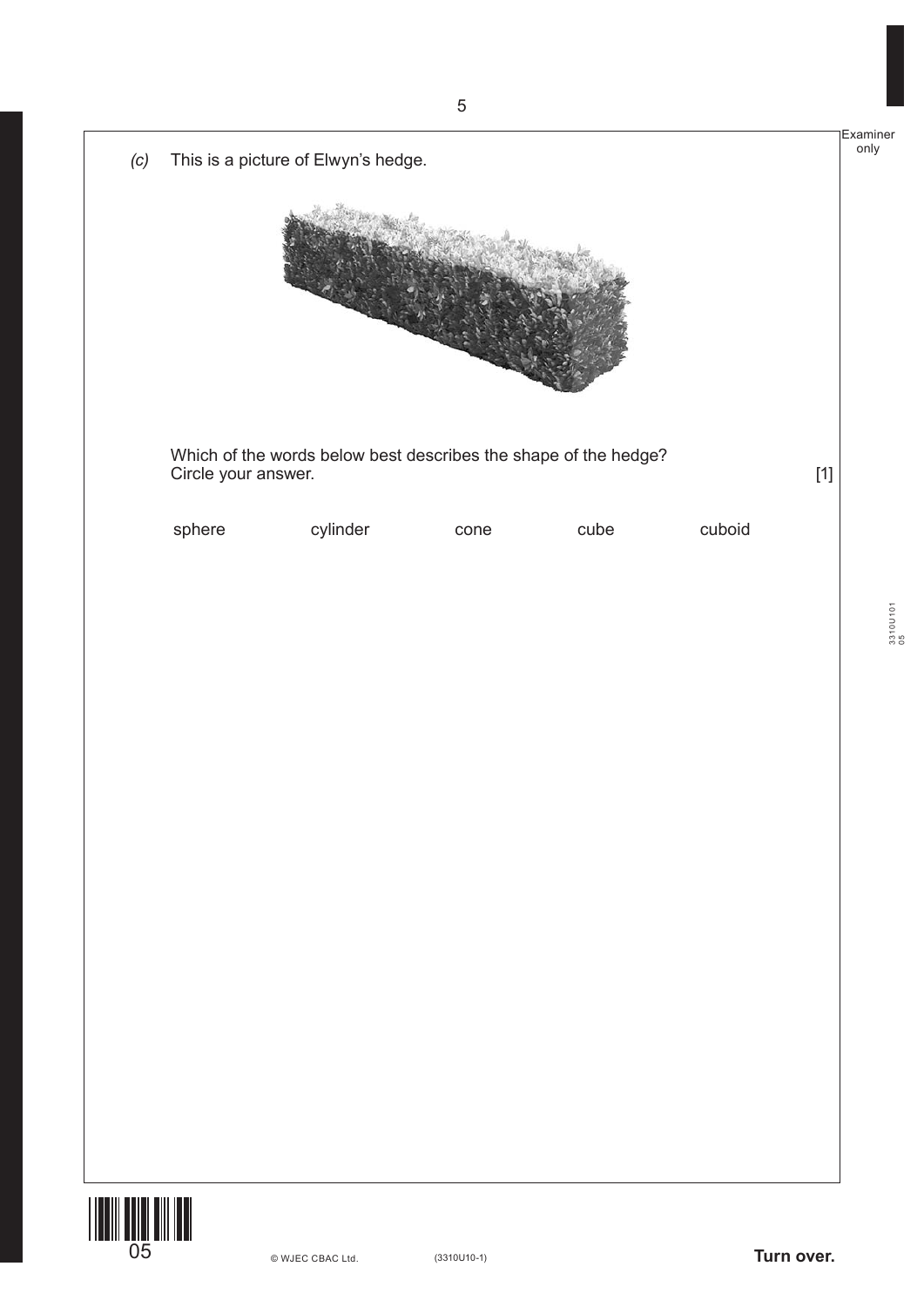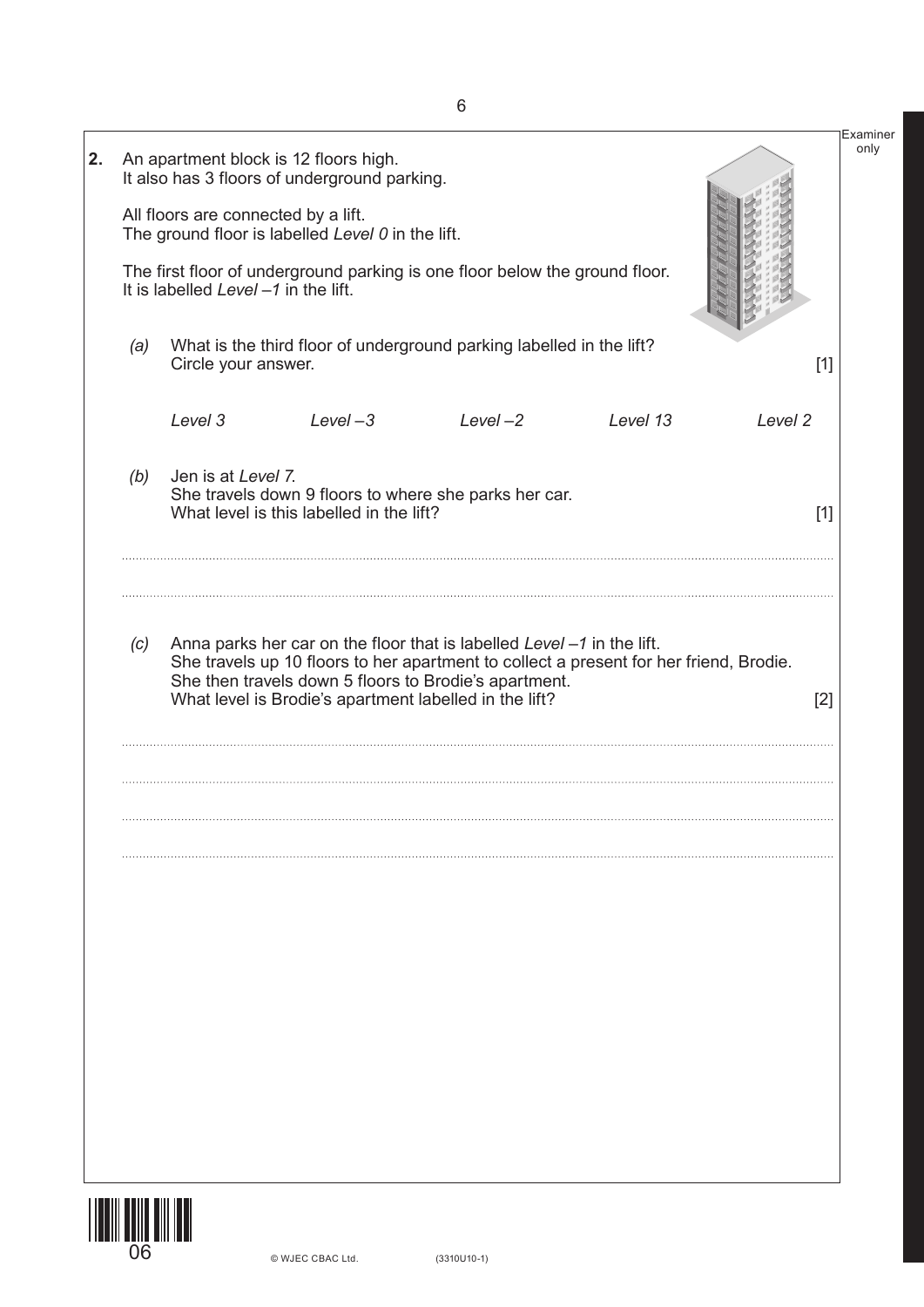|     | All floors are connected by a lift.<br>It is labelled Level $-1$ in the lift. | An apartment block is 12 floors high.<br>It also has 3 floors of underground parking.<br>The ground floor is labelled Level 0 in the lift. | The first floor of underground parking is one floor below the ground floor.                                                     |                                                                                        | Examiner<br>only |
|-----|-------------------------------------------------------------------------------|--------------------------------------------------------------------------------------------------------------------------------------------|---------------------------------------------------------------------------------------------------------------------------------|----------------------------------------------------------------------------------------|------------------|
| (a) | Circle your answer.                                                           |                                                                                                                                            | What is the third floor of underground parking labelled in the lift?                                                            |                                                                                        | $[1]$            |
|     | Level 3                                                                       | $Level-3$                                                                                                                                  | $Level-2$                                                                                                                       | Level 13                                                                               | Level 2          |
| (b) | Jen is at Level 7.                                                            | What level is this labelled in the lift?                                                                                                   | She travels down 9 floors to where she parks her car.                                                                           |                                                                                        | $[1]$            |
| (c) |                                                                               | What level is Brodie's apartment labelled in the lift?                                                                                     | Anna parks her car on the floor that is labelled Level -1 in the lift.<br>She then travels down 5 floors to Brodie's apartment. | She travels up 10 floors to her apartment to collect a present for her friend, Brodie. | $[2]$            |
|     |                                                                               |                                                                                                                                            |                                                                                                                                 |                                                                                        |                  |
|     |                                                                               |                                                                                                                                            |                                                                                                                                 |                                                                                        |                  |
|     |                                                                               |                                                                                                                                            |                                                                                                                                 |                                                                                        |                  |
|     |                                                                               |                                                                                                                                            |                                                                                                                                 |                                                                                        |                  |
|     |                                                                               |                                                                                                                                            |                                                                                                                                 |                                                                                        |                  |
|     |                                                                               |                                                                                                                                            |                                                                                                                                 |                                                                                        |                  |

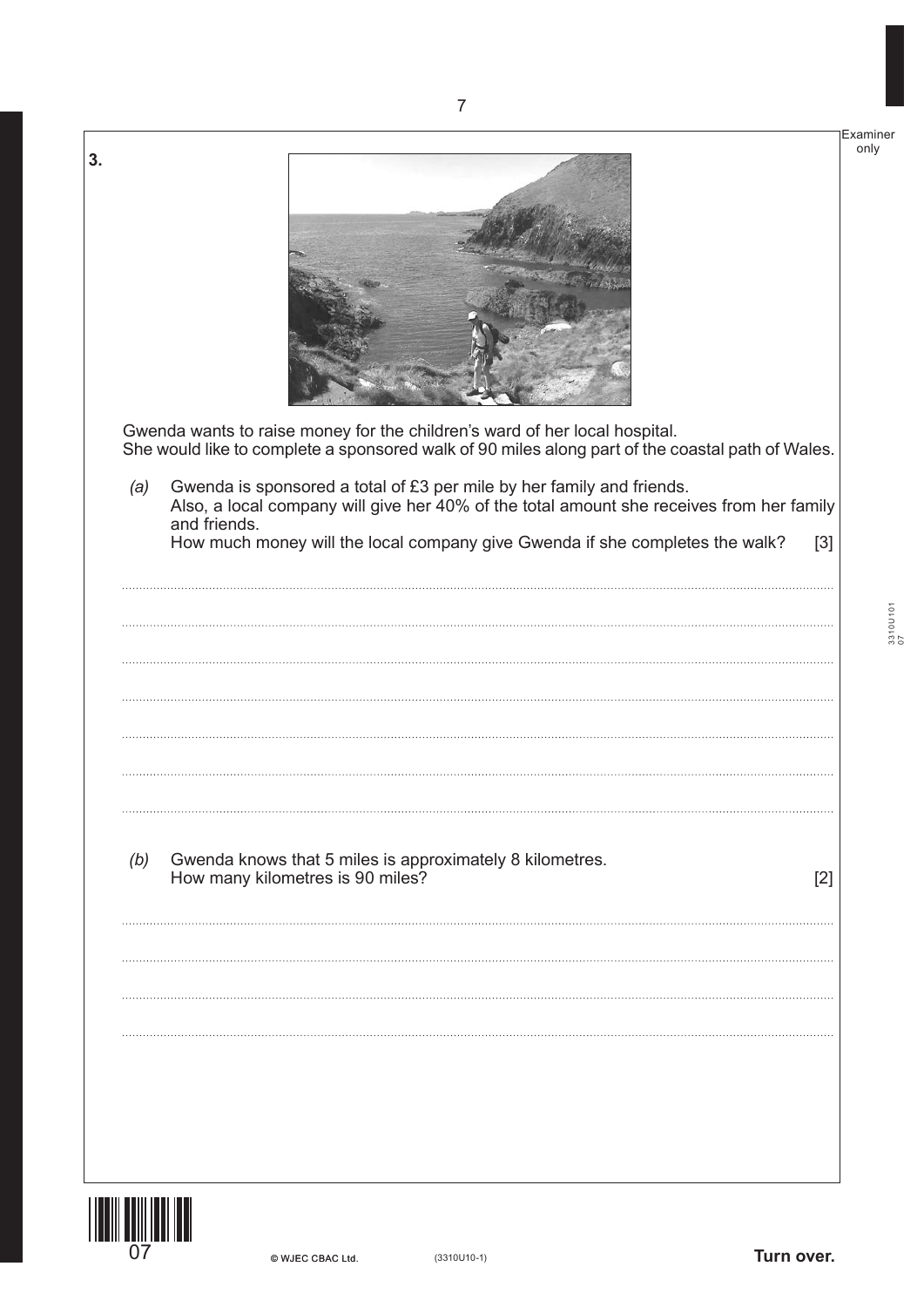

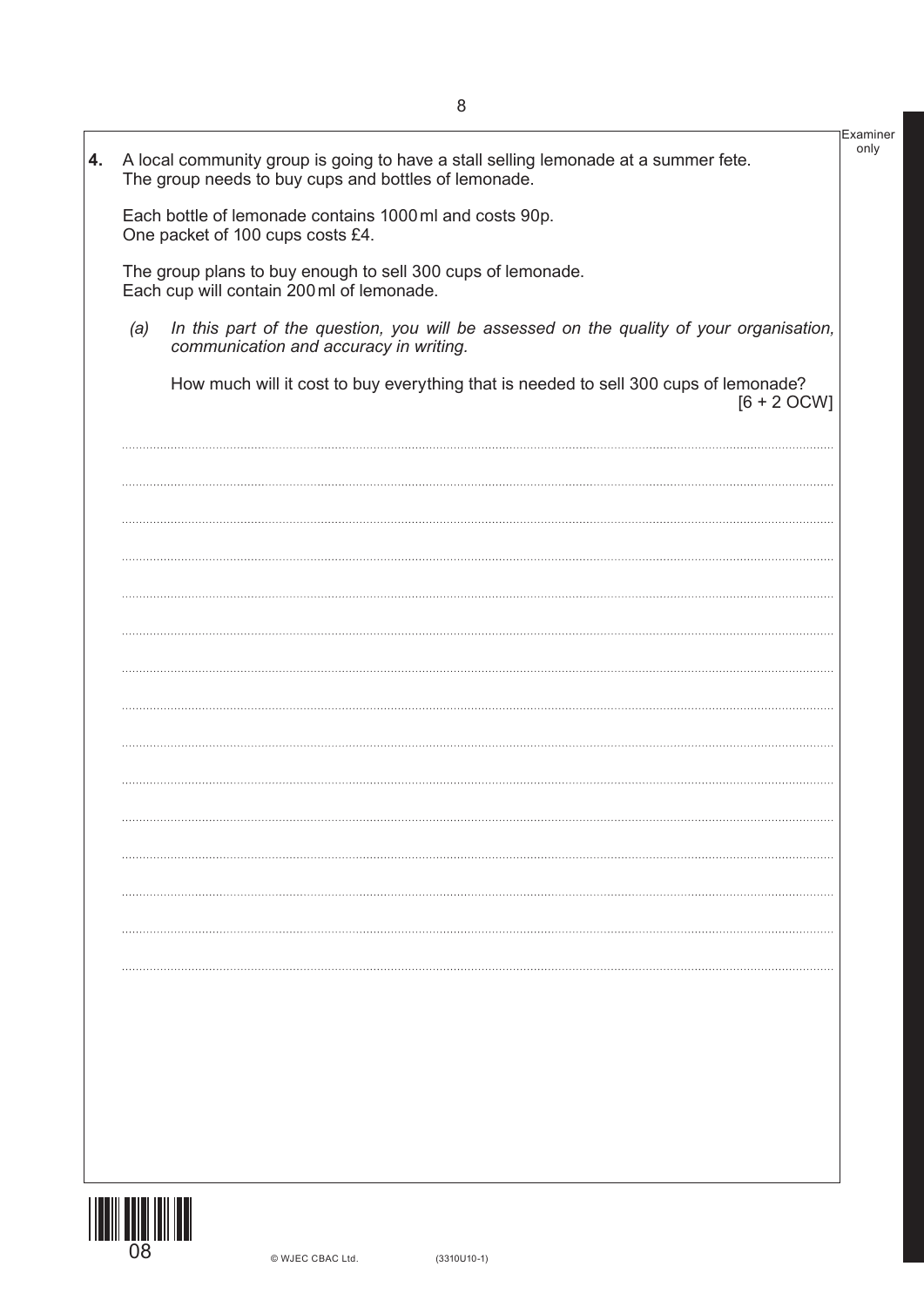|    |     |                                                                                                                                             | Examiner |
|----|-----|---------------------------------------------------------------------------------------------------------------------------------------------|----------|
| 4. |     | A local community group is going to have a stall selling lemonade at a summer fete.<br>The group needs to buy cups and bottles of lemonade. | only     |
|    |     | Each bottle of lemonade contains 1000 ml and costs 90p.<br>One packet of 100 cups costs £4.                                                 |          |
|    |     | The group plans to buy enough to sell 300 cups of lemonade.<br>Each cup will contain 200 ml of lemonade.                                    |          |
|    | (a) | In this part of the question, you will be assessed on the quality of your organisation,<br>communication and accuracy in writing.           |          |
|    |     | How much will it cost to buy everything that is needed to sell 300 cups of lemonade?<br>$[6 + 2$ OCW]                                       |          |
|    |     |                                                                                                                                             |          |
|    |     |                                                                                                                                             |          |
|    |     |                                                                                                                                             |          |
|    |     |                                                                                                                                             |          |
|    |     |                                                                                                                                             |          |
|    |     |                                                                                                                                             |          |
|    |     |                                                                                                                                             |          |
|    |     |                                                                                                                                             |          |
|    |     |                                                                                                                                             |          |
|    |     |                                                                                                                                             |          |
|    |     |                                                                                                                                             |          |
|    |     |                                                                                                                                             |          |
|    |     |                                                                                                                                             |          |

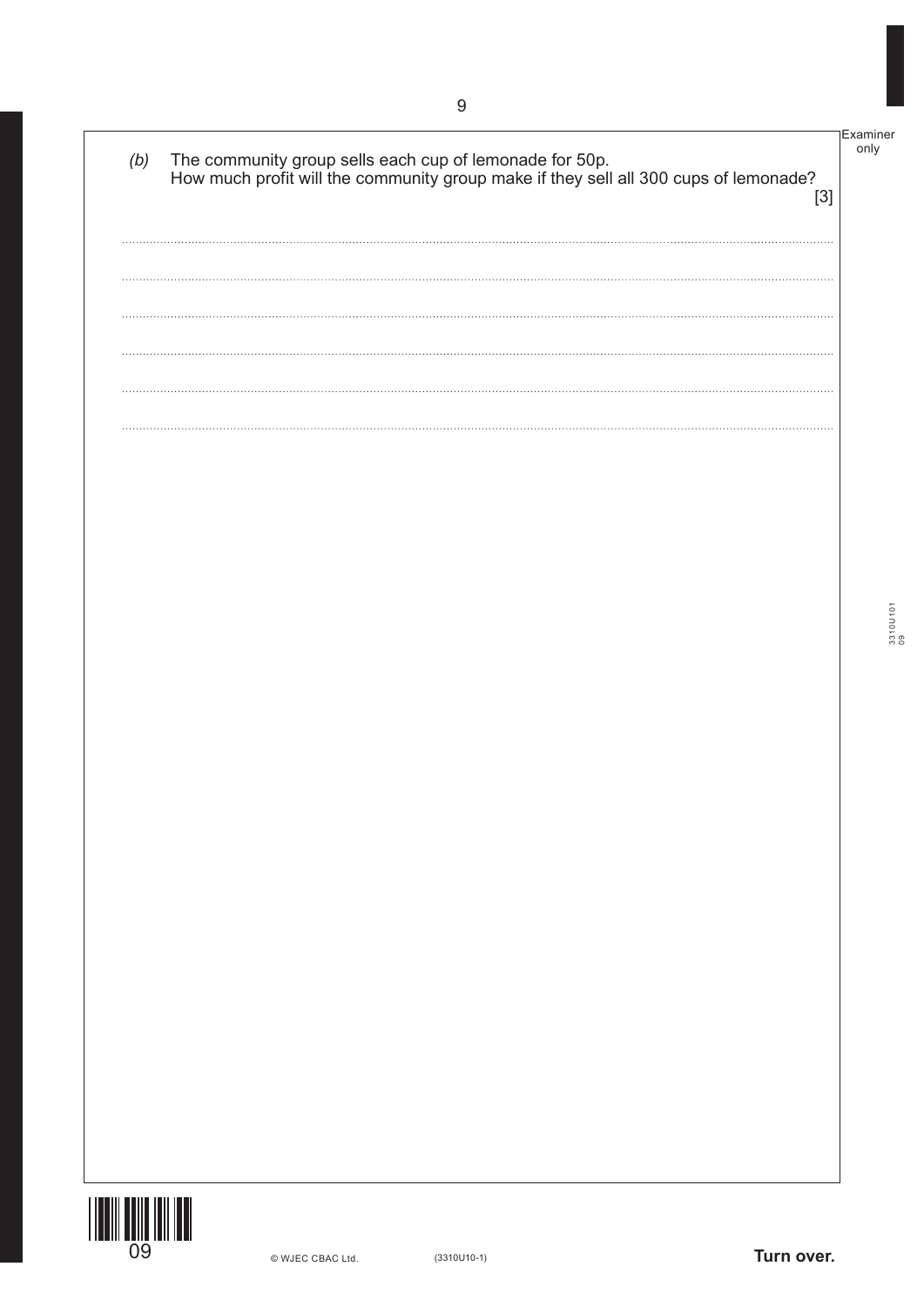

Examiner only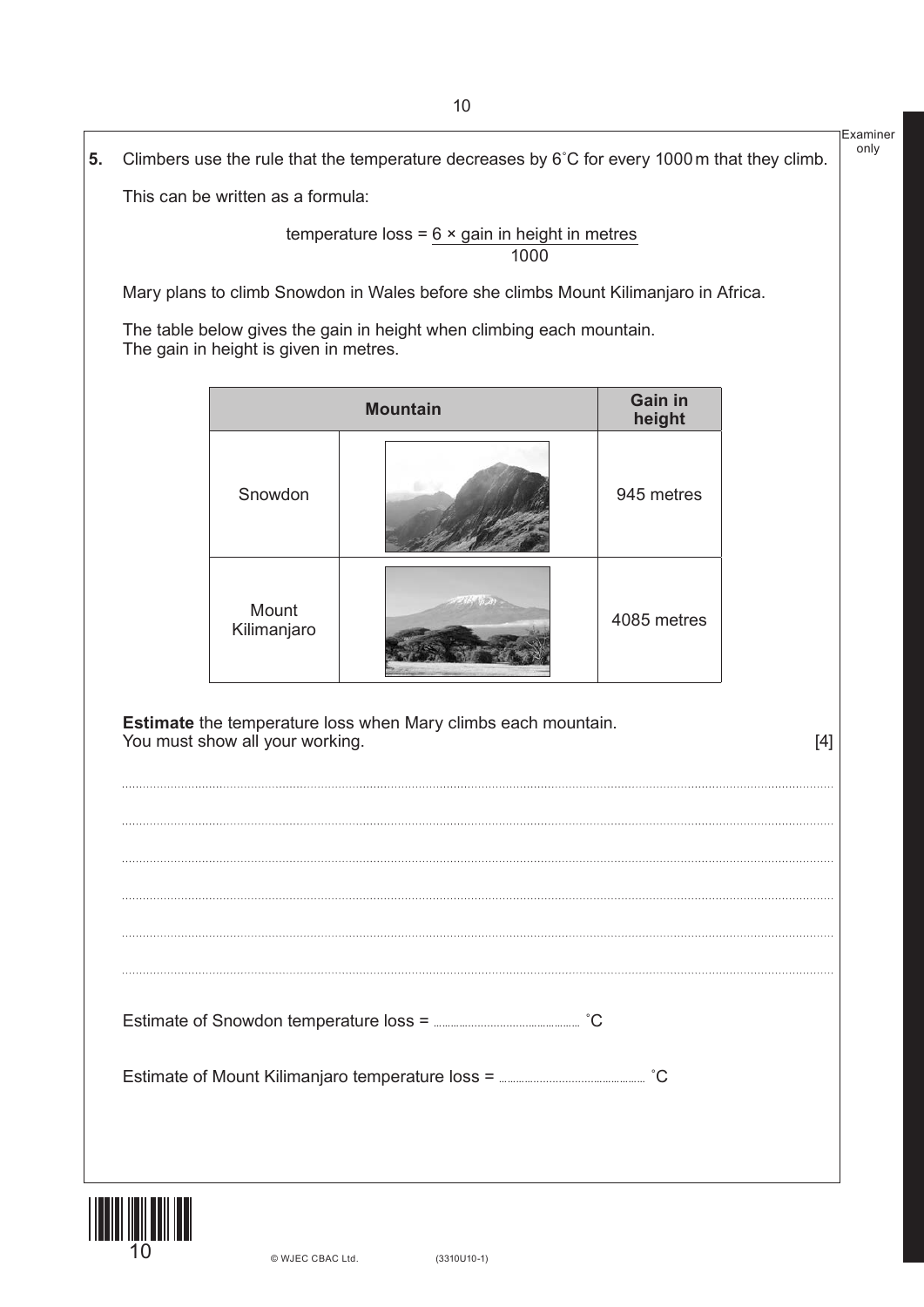Examiner only **5.** Climbers use the rule that the temperature decreases by 6˚C for every 1000m that they climb. This can be written as a formula: temperature loss =  $6 \times$  gain in height in metres проставляются в подобном процесс в составление в 1000 году в 1000 году в 1000 году в 1000 году в 1000 году в 1 Mary plans to climb Snowdon in Wales before she climbs Mount Kilimanjaro in Africa. The table below gives the gain in height when climbing each mountain. The gain in height is given in metres. **Mountain Gain in height** Snowdon 945 metres Mount Kilimanjaro 4085 metres **Estimate** the temperature loss when Mary climbs each mountain. You must show all your working. [4] Estimate of Snowdon temperature loss = **…………...................………………** ˚C Estimate of Mount Kilimanjaro temperature loss = **…………...................………………** ˚C

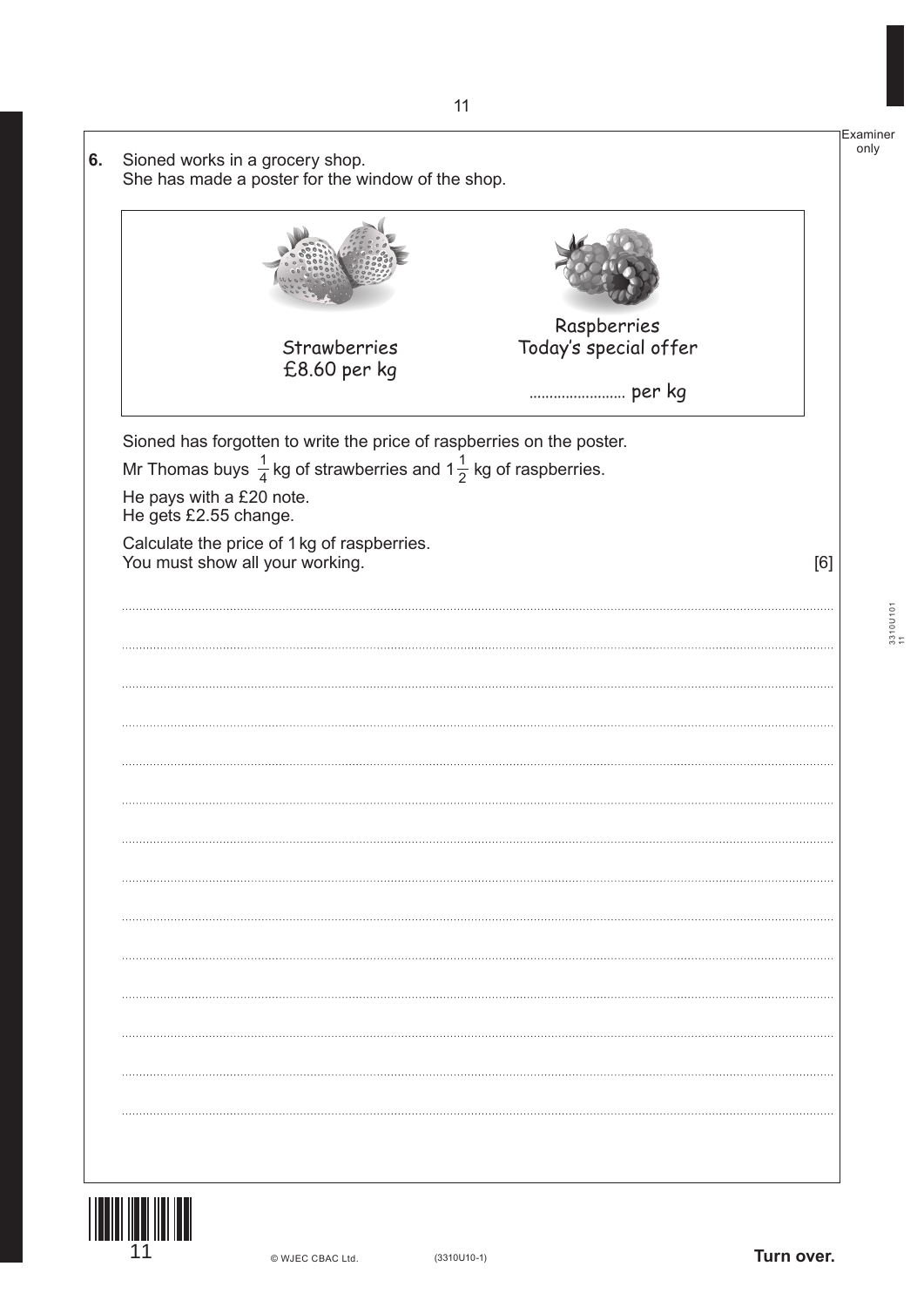|                                                   | Strawberries                                                                           | Raspberries<br>Today's special offer |     |
|---------------------------------------------------|----------------------------------------------------------------------------------------|--------------------------------------|-----|
|                                                   | £8.60 per kg                                                                           |                                      |     |
|                                                   | Sioned has forgotten to write the price of raspberries on the poster.                  |                                      |     |
|                                                   | Mr Thomas buys $\frac{1}{4}$ kg of strawberries and 1 $\frac{1}{2}$ kg of raspberries. |                                      |     |
| He pays with a £20 note.<br>He gets £2.55 change. |                                                                                        |                                      |     |
| You must show all your working.                   | Calculate the price of 1 kg of raspberries.                                            |                                      | [6] |
|                                                   |                                                                                        |                                      |     |
|                                                   |                                                                                        |                                      |     |
|                                                   |                                                                                        |                                      |     |
|                                                   |                                                                                        |                                      |     |
|                                                   |                                                                                        |                                      |     |
|                                                   |                                                                                        |                                      |     |
|                                                   |                                                                                        |                                      |     |
|                                                   |                                                                                        |                                      |     |
|                                                   |                                                                                        |                                      |     |
|                                                   |                                                                                        |                                      |     |
|                                                   |                                                                                        |                                      |     |
|                                                   |                                                                                        |                                      |     |
|                                                   |                                                                                        |                                      |     |
|                                                   |                                                                                        |                                      |     |
|                                                   |                                                                                        |                                      |     |
|                                                   |                                                                                        |                                      |     |
|                                                   |                                                                                        |                                      |     |

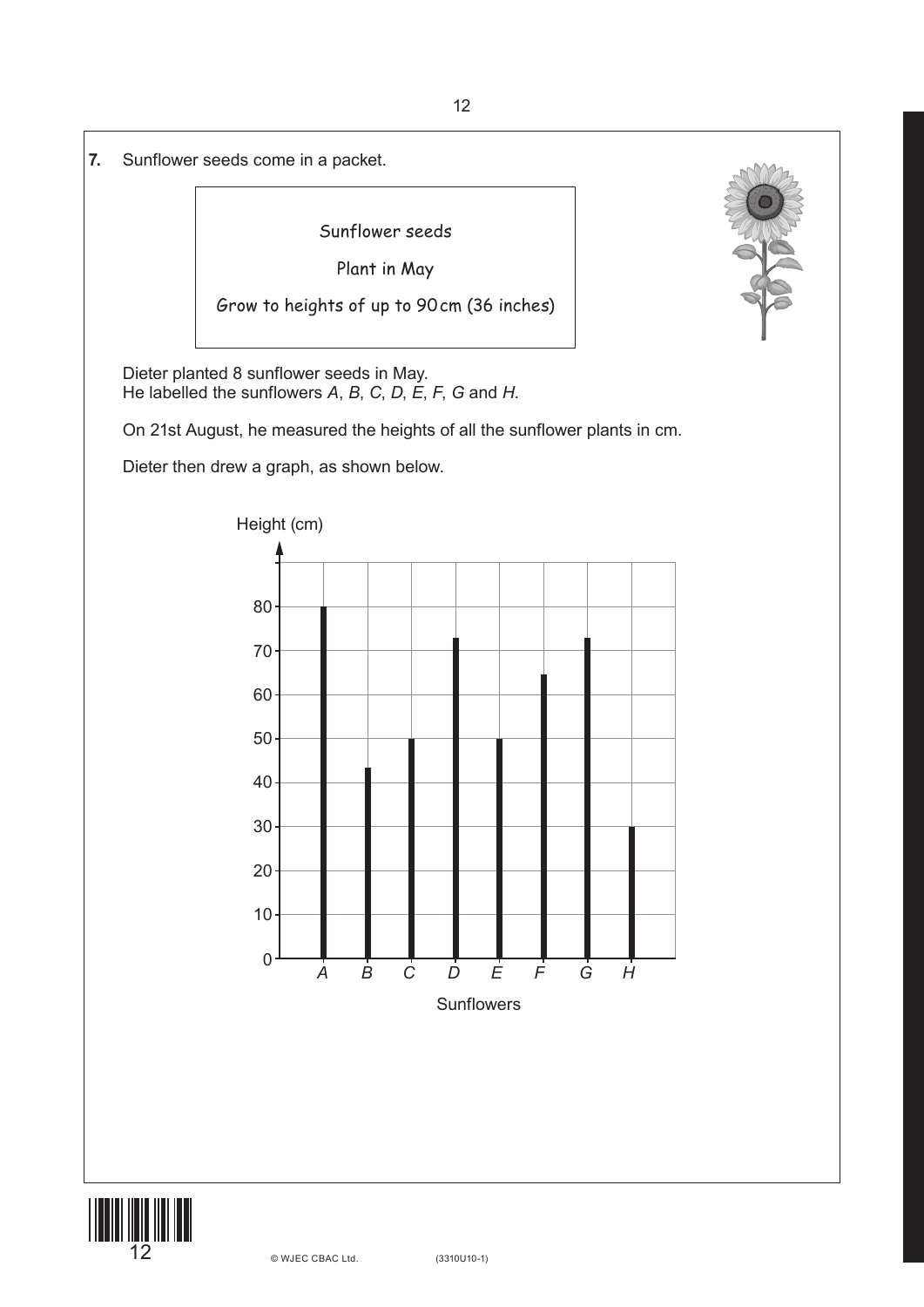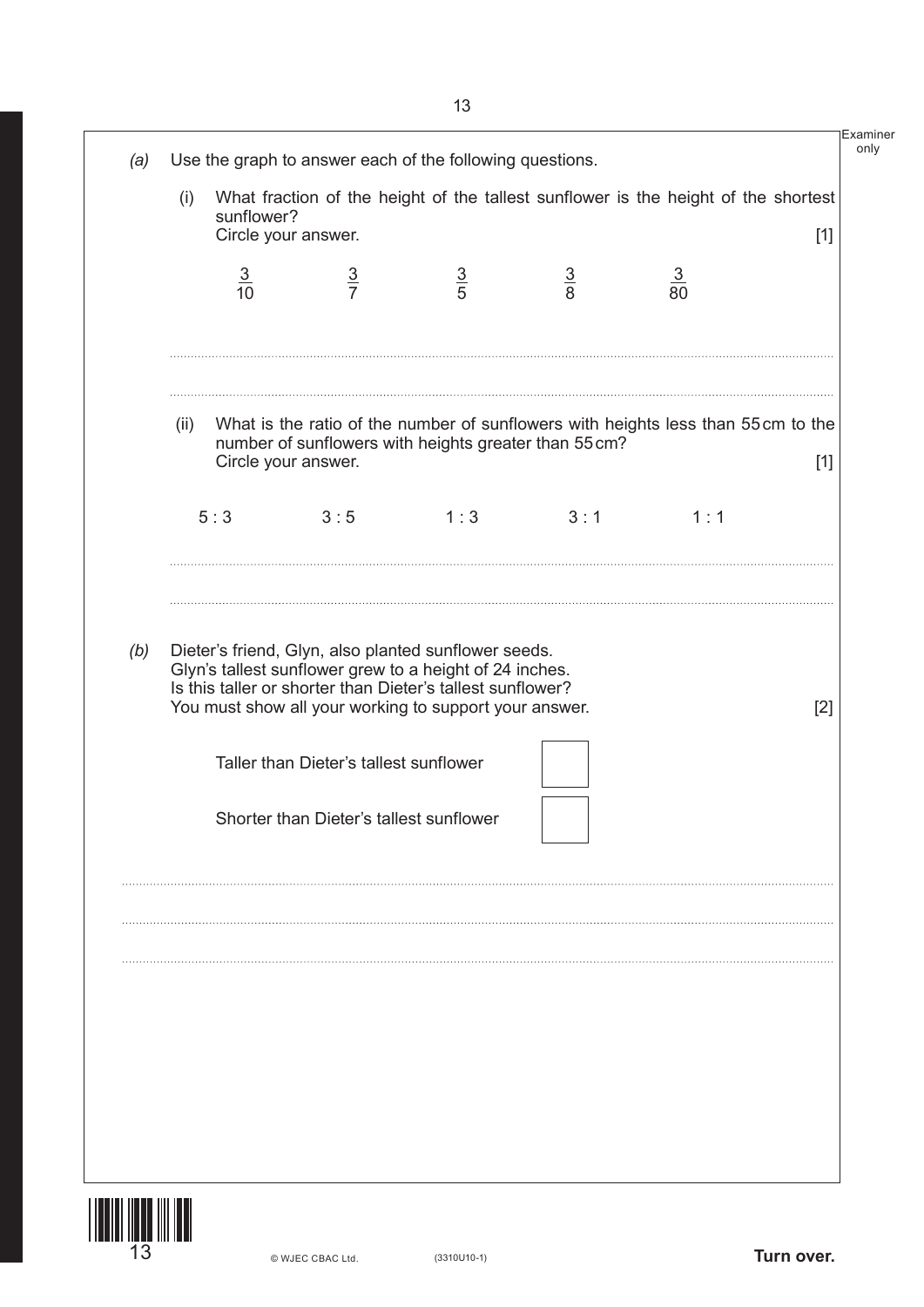|     | (i)  | sunflower?     | Circle your answer.                                                               |                                                                                                                                                                                                                                         |               | What fraction of the height of the tallest sunflower is the height of the shortest | $[1]$ |
|-----|------|----------------|-----------------------------------------------------------------------------------|-----------------------------------------------------------------------------------------------------------------------------------------------------------------------------------------------------------------------------------------|---------------|------------------------------------------------------------------------------------|-------|
|     |      | $\frac{3}{10}$ | $rac{3}{7}$                                                                       | $\frac{3}{5}$                                                                                                                                                                                                                           | $\frac{3}{8}$ | $\frac{3}{80}$                                                                     |       |
|     | (ii) |                | Circle your answer.                                                               | number of sunflowers with heights greater than 55 cm?                                                                                                                                                                                   |               | What is the ratio of the number of sunflowers with heights less than 55cm to the   | $[1]$ |
|     |      | 5:3            | 3:5                                                                               | 1:3                                                                                                                                                                                                                                     | 3:1           | 1:1                                                                                |       |
|     |      |                |                                                                                   | Dieter's friend, Glyn, also planted sunflower seeds.<br>Glyn's tallest sunflower grew to a height of 24 inches.<br>Is this taller or shorter than Dieter's tallest sunflower?<br>You must show all your working to support your answer. |               |                                                                                    | $[2]$ |
|     |      |                | Taller than Dieter's tallest sunflower<br>Shorter than Dieter's tallest sunflower |                                                                                                                                                                                                                                         |               |                                                                                    |       |
| (b) |      |                |                                                                                   |                                                                                                                                                                                                                                         |               |                                                                                    |       |
|     |      |                |                                                                                   |                                                                                                                                                                                                                                         |               |                                                                                    |       |
|     |      |                |                                                                                   |                                                                                                                                                                                                                                         |               |                                                                                    |       |

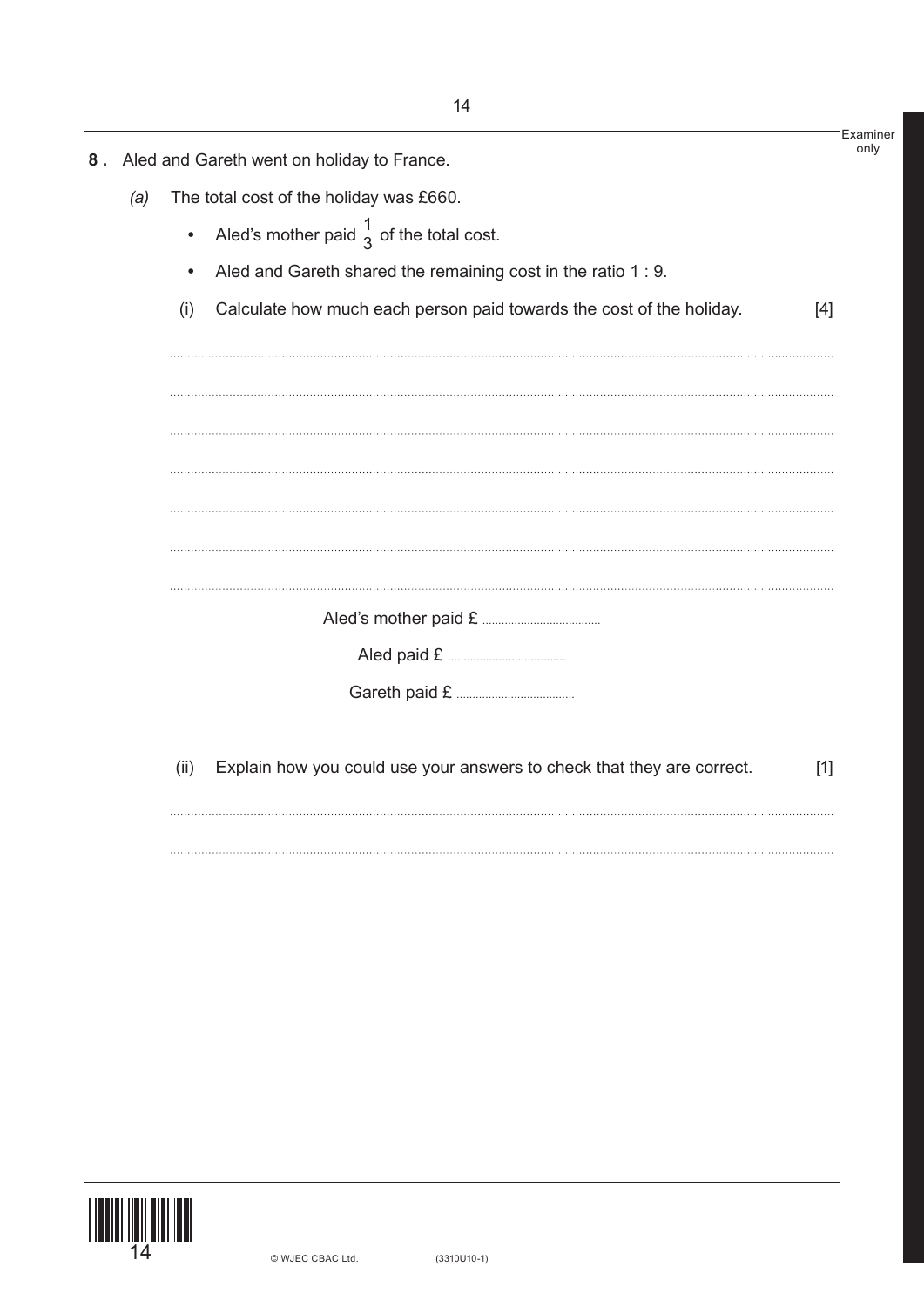|     |           | 8. Aled and Gareth went on holiday to France.                          |       |
|-----|-----------|------------------------------------------------------------------------|-------|
| (a) |           | The total cost of the holiday was £660.                                |       |
|     | $\bullet$ | Aled's mother paid $\frac{1}{3}$ of the total cost.                    |       |
|     | $\bullet$ | Aled and Gareth shared the remaining cost in the ratio 1 : 9.          |       |
|     | (i)       | Calculate how much each person paid towards the cost of the holiday.   | $[4]$ |
|     |           |                                                                        |       |
|     |           |                                                                        |       |
|     |           |                                                                        |       |
|     |           |                                                                        |       |
|     |           |                                                                        |       |
|     |           |                                                                        |       |
|     |           |                                                                        |       |
|     | (ii)      | Explain how you could use your answers to check that they are correct. | $[1]$ |
|     |           |                                                                        |       |
|     |           |                                                                        |       |
|     |           |                                                                        |       |
|     |           |                                                                        |       |
|     |           |                                                                        |       |
|     |           |                                                                        |       |
|     |           |                                                                        |       |
|     |           |                                                                        |       |

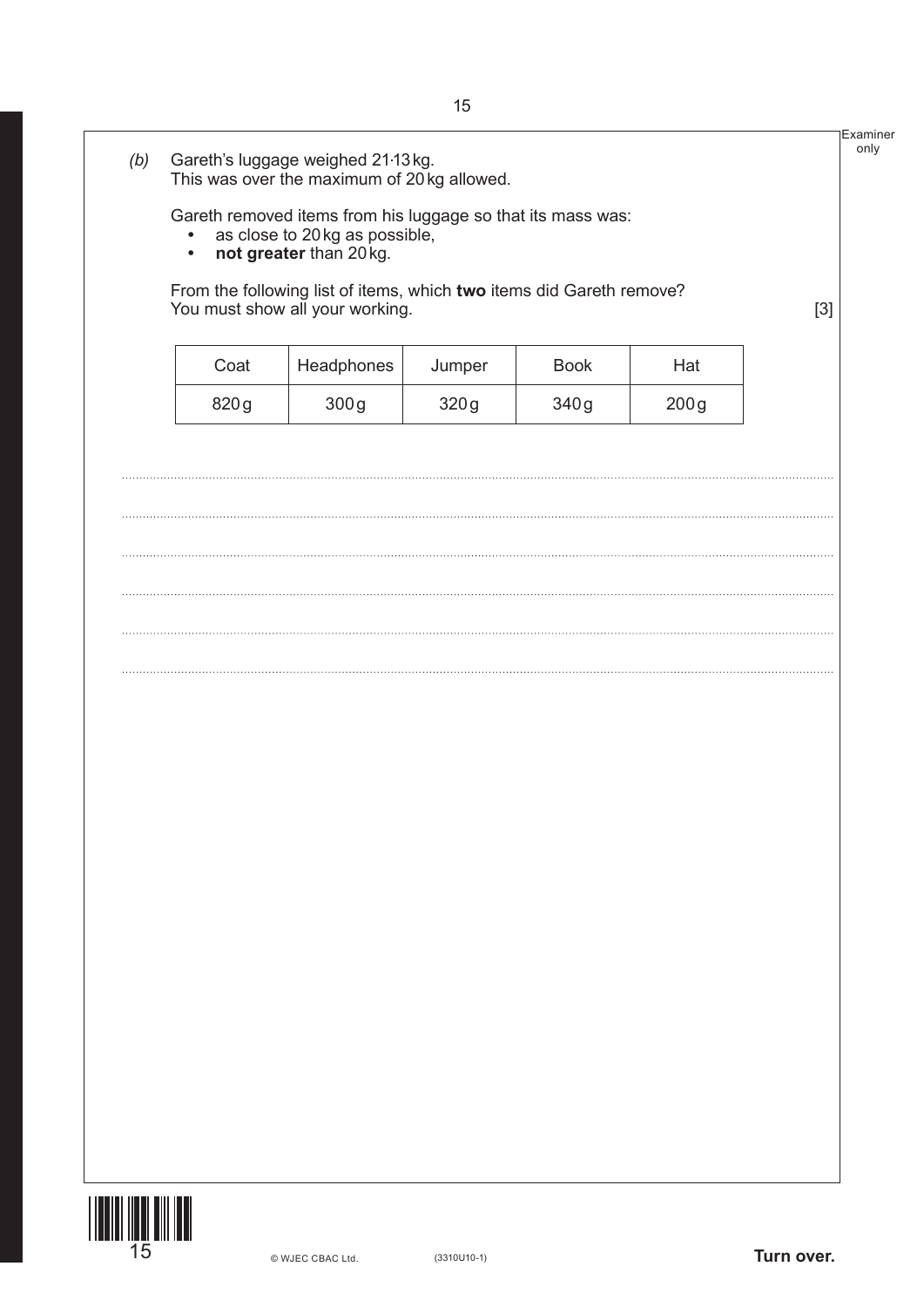|      | From the following list of items, which two items did Gareth remove?<br>You must show all your working. |        |             |      | $[3]$ |
|------|---------------------------------------------------------------------------------------------------------|--------|-------------|------|-------|
| Coat | Headphones                                                                                              | Jumper | <b>Book</b> | Hat  |       |
| 820g | 300g                                                                                                    | 320g   | 340g        | 200g |       |
|      |                                                                                                         |        |             |      |       |
|      |                                                                                                         |        |             |      |       |
|      |                                                                                                         |        |             |      |       |
|      |                                                                                                         |        |             |      |       |
|      |                                                                                                         |        |             |      |       |
|      |                                                                                                         |        |             |      |       |
|      |                                                                                                         |        |             |      |       |
|      |                                                                                                         |        |             |      |       |
|      |                                                                                                         |        |             |      |       |
|      |                                                                                                         |        |             |      |       |
|      |                                                                                                         |        |             |      |       |
|      |                                                                                                         |        |             |      |       |
|      |                                                                                                         |        |             |      |       |
|      |                                                                                                         |        |             |      |       |
|      |                                                                                                         |        |             |      |       |
|      |                                                                                                         |        |             |      |       |
|      |                                                                                                         |        |             |      |       |

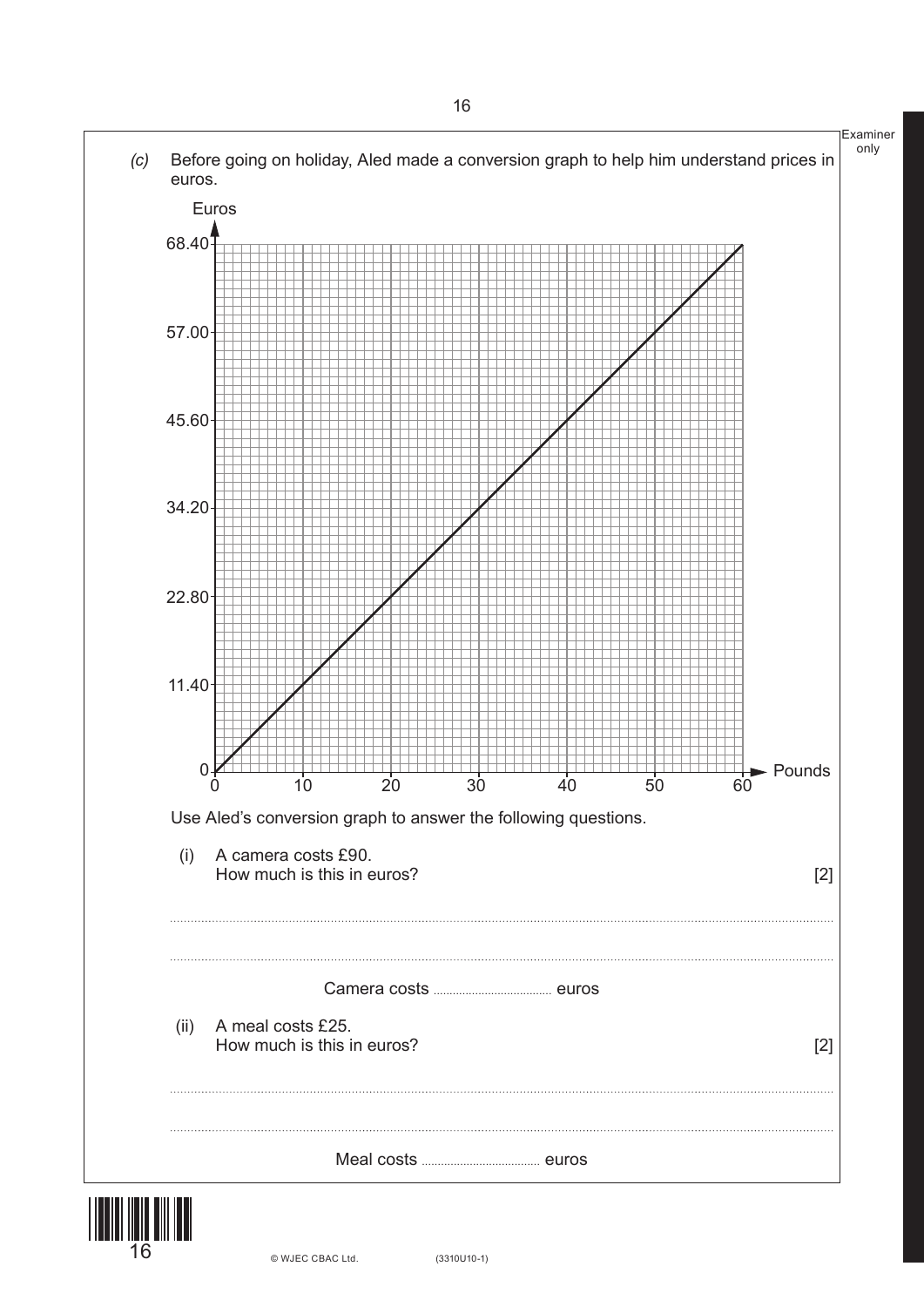

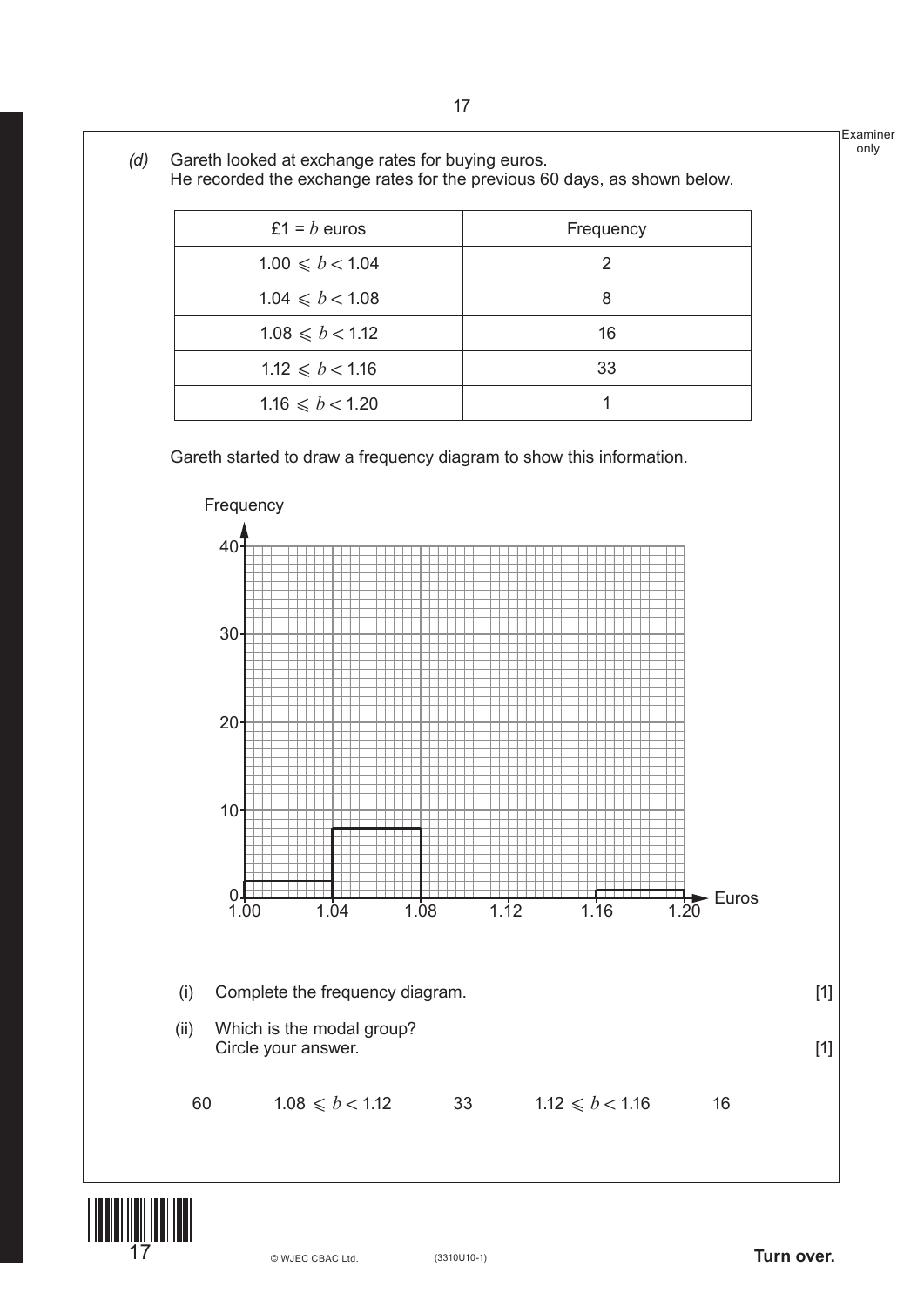



(3310U10-1) **Turn over.**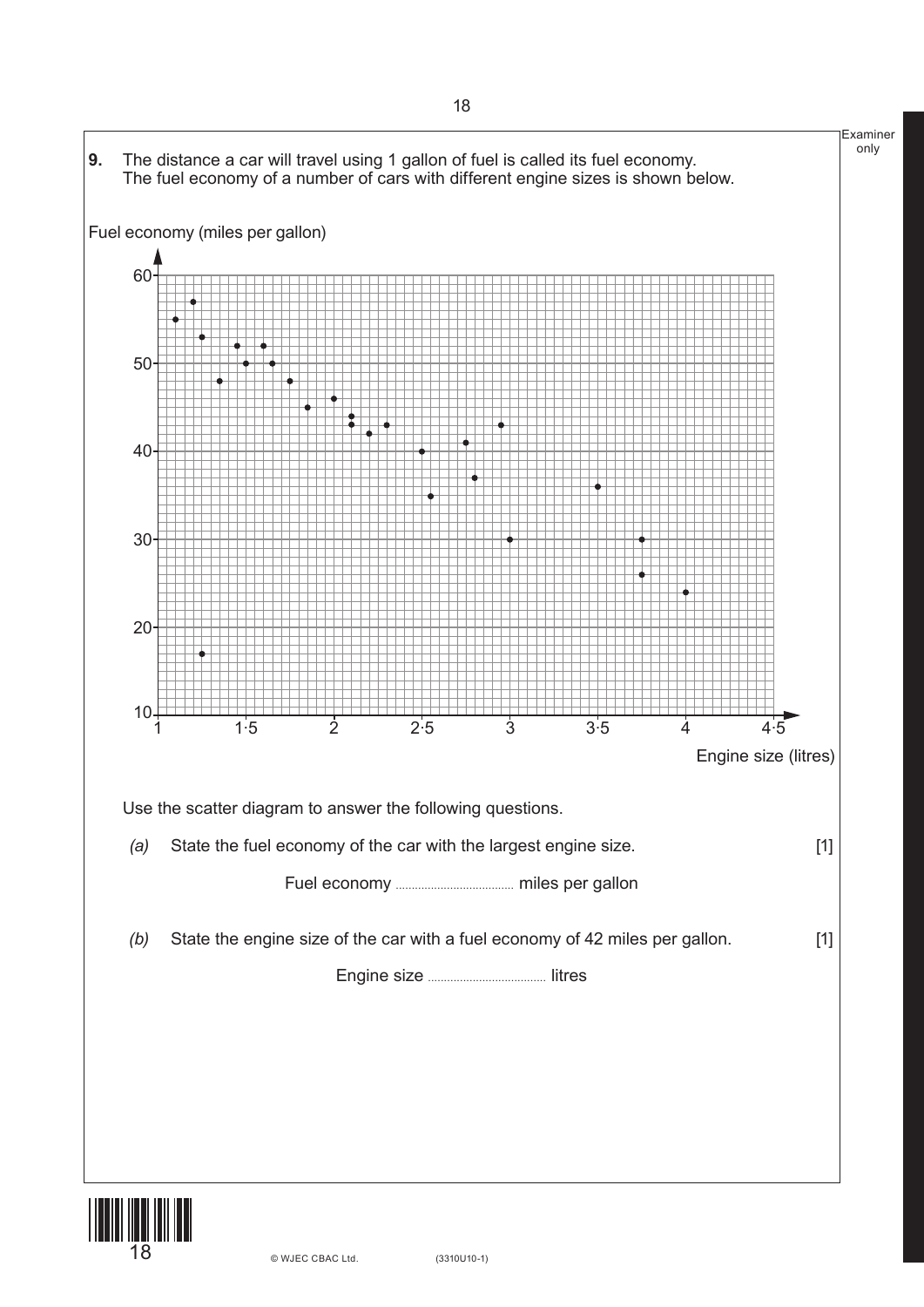



18 (3310U10-1) © WJEC CBAC Ltd.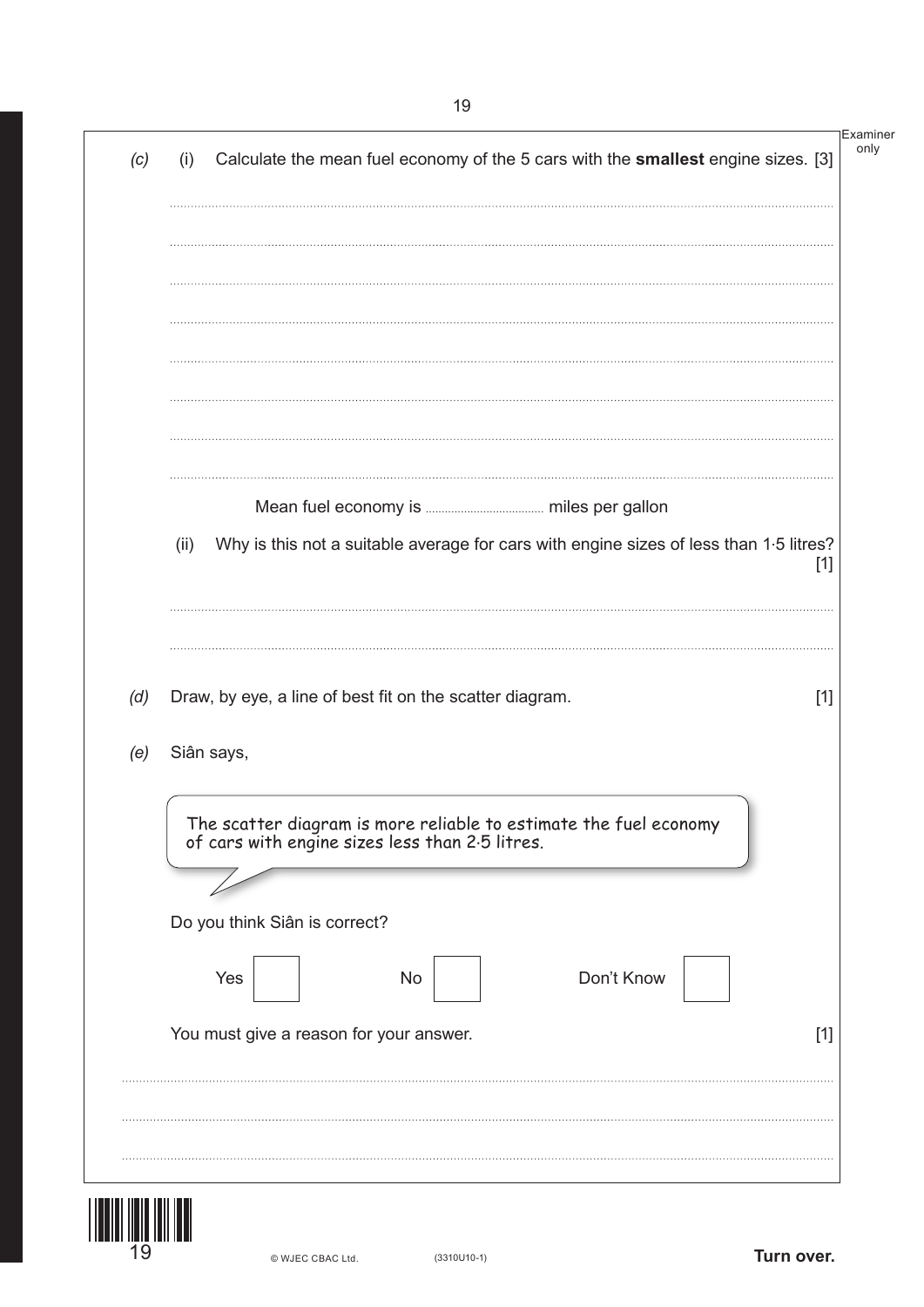|     | (i)  | Calculate the mean fuel economy of the 5 cars with the smallest engine sizes. [3]                                    |  |
|-----|------|----------------------------------------------------------------------------------------------------------------------|--|
|     |      |                                                                                                                      |  |
|     |      |                                                                                                                      |  |
|     |      |                                                                                                                      |  |
|     |      |                                                                                                                      |  |
|     |      |                                                                                                                      |  |
|     |      |                                                                                                                      |  |
|     | (ii) | Why is this not a suitable average for cars with engine sizes of less than 1.5 litres?<br>$[1]$                      |  |
|     |      |                                                                                                                      |  |
|     |      |                                                                                                                      |  |
|     |      |                                                                                                                      |  |
| (d) |      | Draw, by eye, a line of best fit on the scatter diagram.<br>$[1]$                                                    |  |
|     |      | Siân says,                                                                                                           |  |
| (e) |      |                                                                                                                      |  |
|     |      | The scatter diagram is more reliable to estimate the fuel economy<br>of cars with engine sizes less than 2.5 litres. |  |
|     |      | Do you think Siân is correct?                                                                                        |  |
|     |      | Don't Know<br>Yes<br><b>No</b>                                                                                       |  |
|     |      | You must give a reason for your answer.<br>$[1]$                                                                     |  |
|     |      |                                                                                                                      |  |

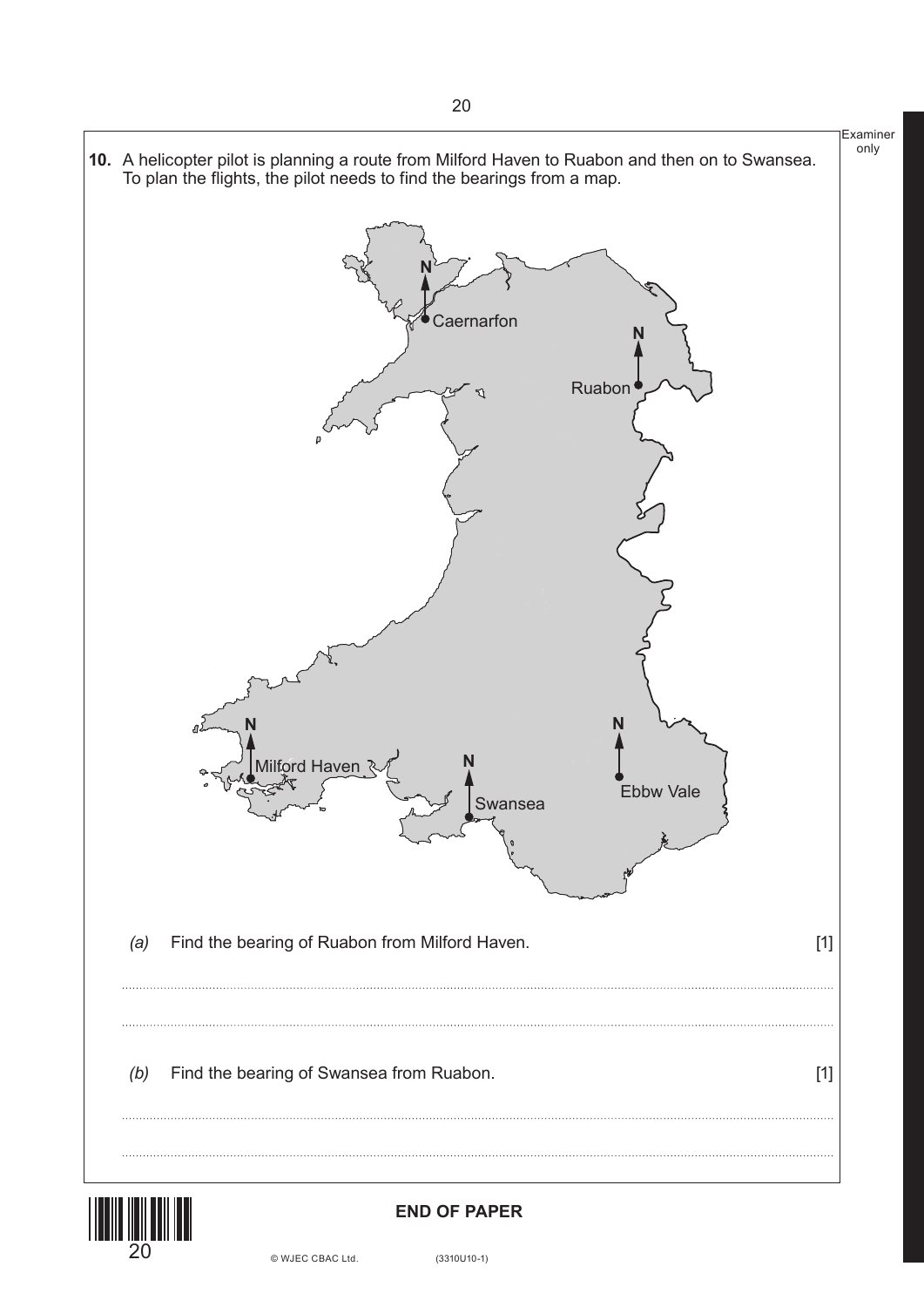



#### **END OF PAPER**

20 © WJEC CBAC Ltd. (3310U10-1)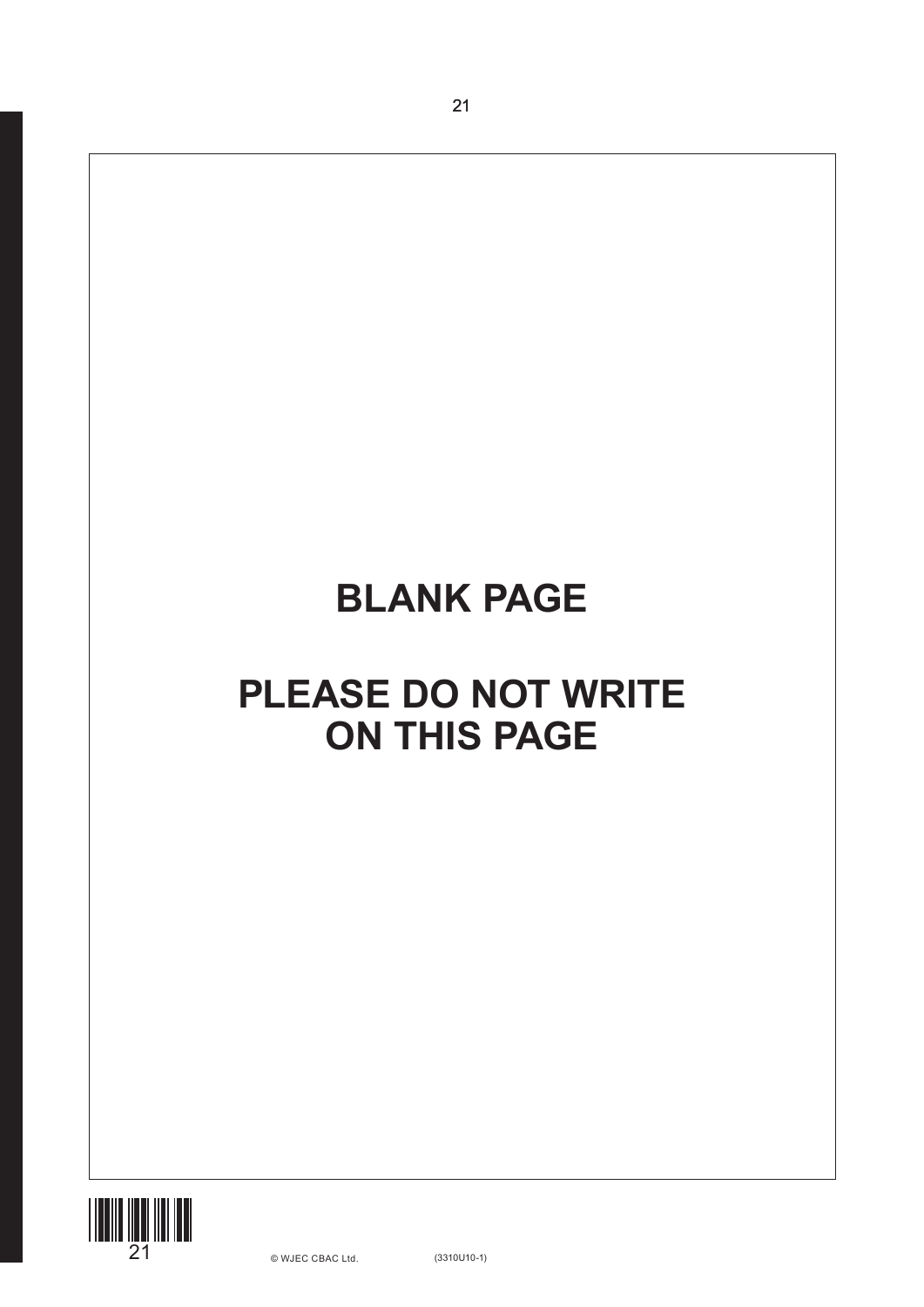# **BLANK PAGE**

21

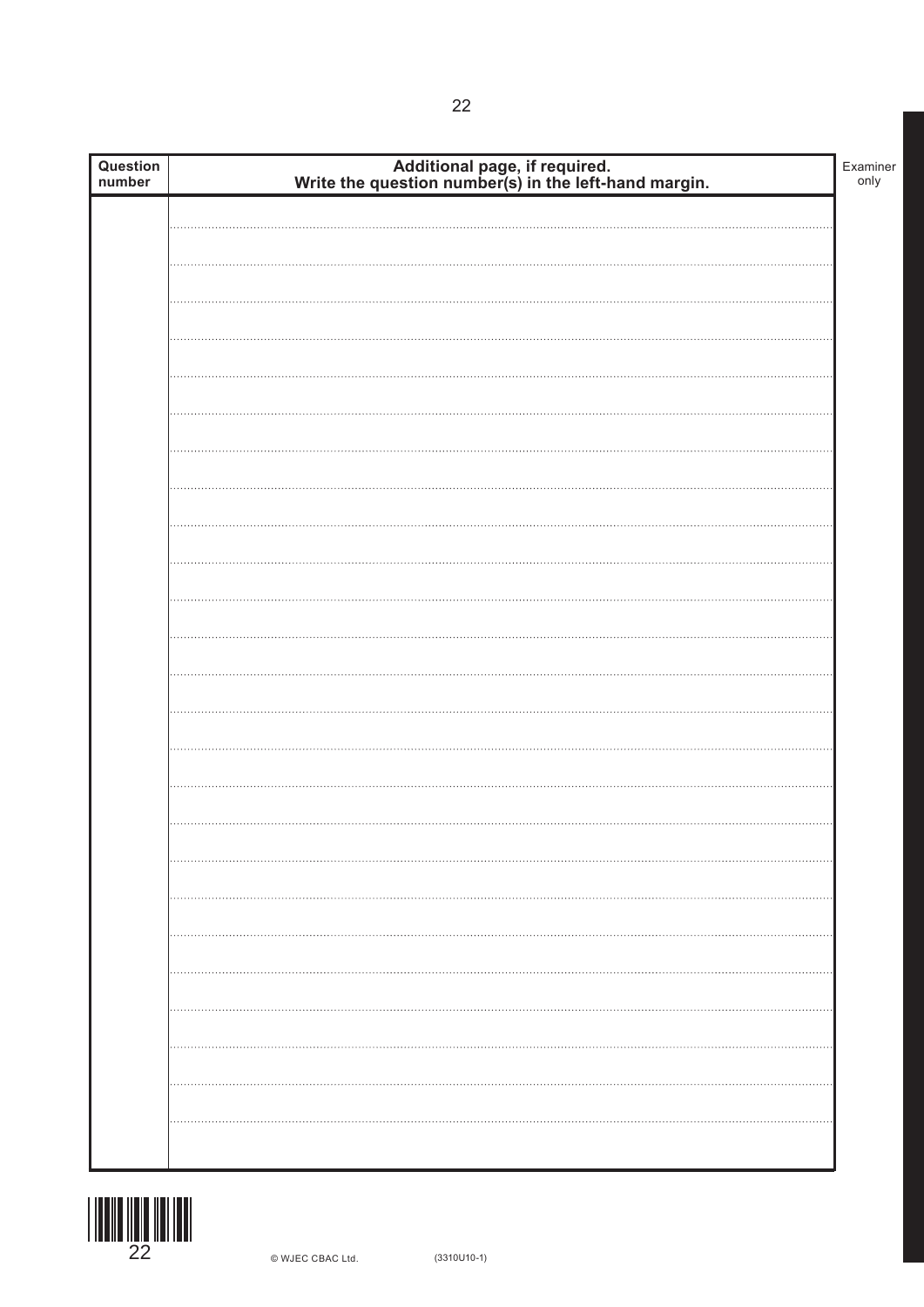| Question<br>number | Additional page, if required.<br>Write the question number(s) in the left-hand margin. | Examiner<br>only |
|--------------------|----------------------------------------------------------------------------------------|------------------|
|                    |                                                                                        |                  |
|                    |                                                                                        |                  |
|                    |                                                                                        |                  |
|                    |                                                                                        |                  |
|                    |                                                                                        |                  |
|                    |                                                                                        |                  |
|                    |                                                                                        |                  |
|                    |                                                                                        |                  |
|                    |                                                                                        |                  |
|                    |                                                                                        |                  |
|                    |                                                                                        |                  |
|                    |                                                                                        |                  |
|                    |                                                                                        |                  |
|                    |                                                                                        |                  |
|                    |                                                                                        |                  |
|                    |                                                                                        |                  |
|                    |                                                                                        |                  |
|                    |                                                                                        |                  |
|                    |                                                                                        |                  |
|                    |                                                                                        |                  |
|                    |                                                                                        |                  |
|                    |                                                                                        |                  |
|                    |                                                                                        |                  |
|                    | .                                                                                      |                  |
|                    |                                                                                        |                  |
|                    |                                                                                        |                  |
|                    |                                                                                        |                  |
|                    |                                                                                        |                  |
|                    |                                                                                        |                  |
|                    |                                                                                        |                  |

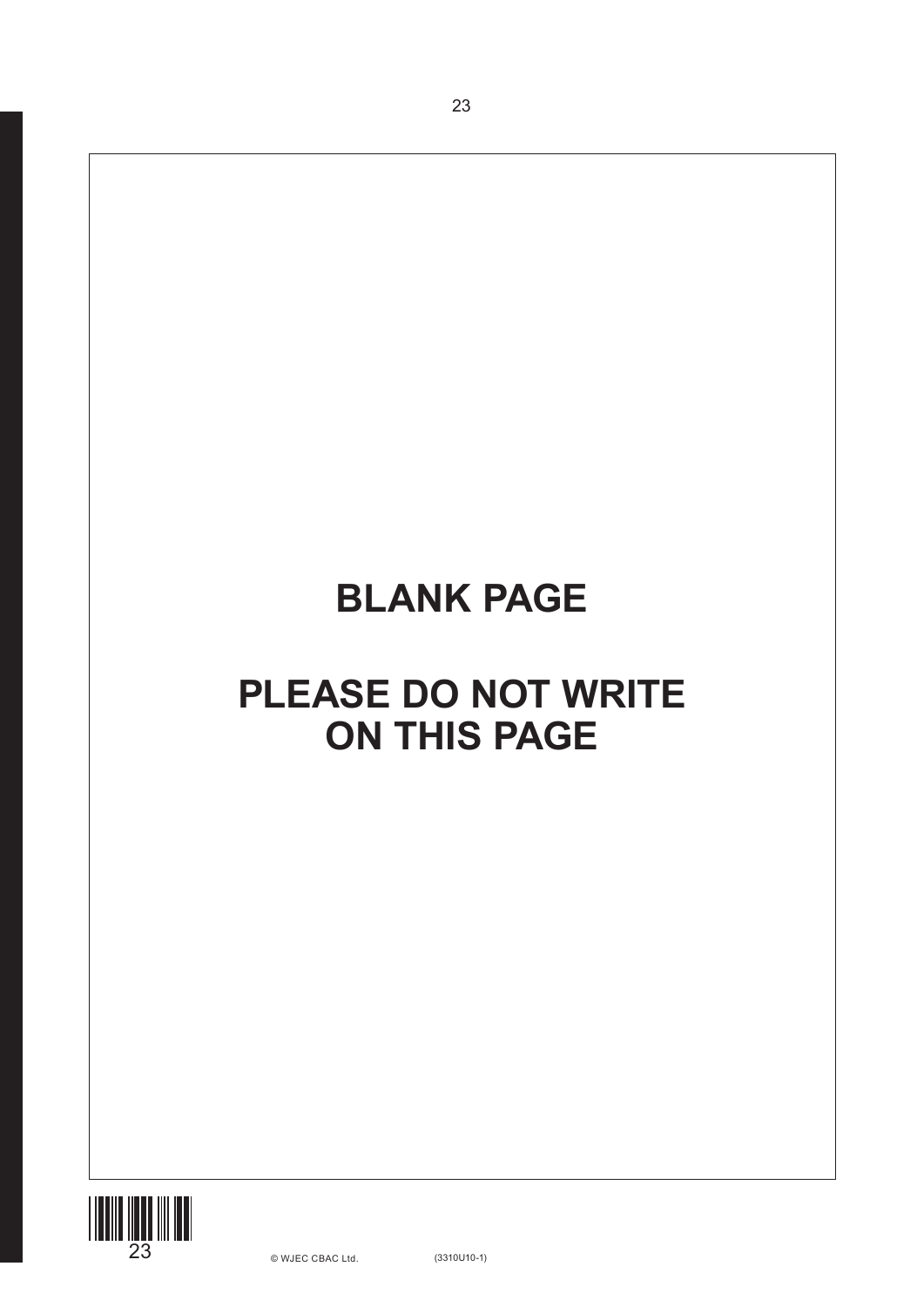# **BLANK PAGE**

23